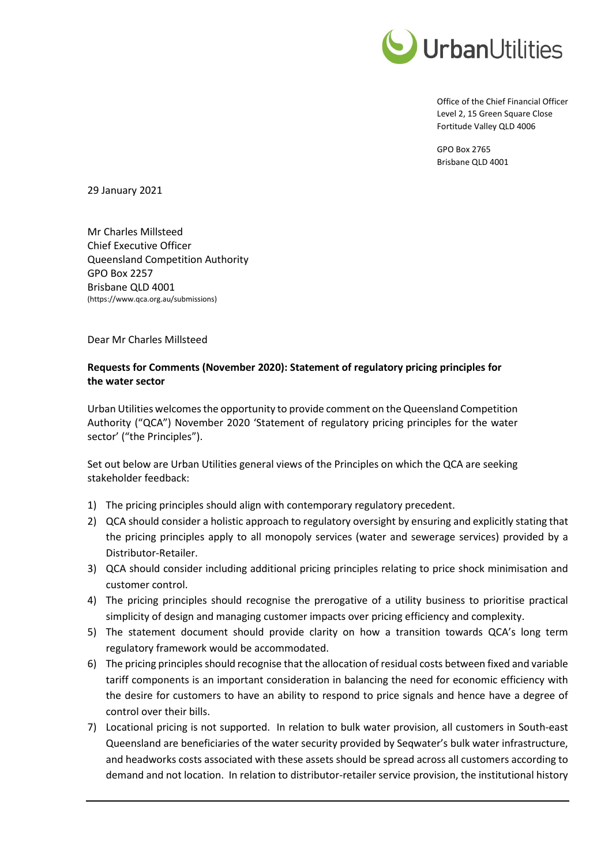

Office of the Chief Financial Officer Level 2, 15 Green Square Close Fortitude Valley QLD 4006

GPO Box 2765 Brisbane QLD 4001

29 January 2021

Mr Charles Millsteed Chief Executive Officer Queensland Competition Authority GPO Box 2257 Brisbane QLD 4001 [\(https://www.qca.org.au/submissions\)](https://www.qca.org.au/submissions)

Dear Mr Charles Millsteed

## **Requests for Comments (November 2020): Statement of regulatory pricing principles for the water sector**

Urban Utilities welcomes the opportunity to provide comment on the Queensland Competition Authority ("QCA") November 2020 'Statement of regulatory pricing principles for the water sector' ("the Principles").

Set out below are Urban Utilities general views of the Principles on which the QCA are seeking stakeholder feedback:

- 1) The pricing principles should align with contemporary regulatory precedent.
- 2) QCA should consider a holistic approach to regulatory oversight by ensuring and explicitly stating that the pricing principles apply to all monopoly services (water and sewerage services) provided by a Distributor-Retailer.
- 3) QCA should consider including additional pricing principles relating to price shock minimisation and customer control.
- 4) The pricing principles should recognise the prerogative of a utility business to prioritise practical simplicity of design and managing customer impacts over pricing efficiency and complexity.
- 5) The statement document should provide clarity on how a transition towards QCA's long term regulatory framework would be accommodated.
- 6) The pricing principles should recognise that the allocation of residual costs between fixed and variable tariff components is an important consideration in balancing the need for economic efficiency with the desire for customers to have an ability to respond to price signals and hence have a degree of control over their bills.
- 7) Locational pricing is not supported. In relation to bulk water provision, all customers in South-east Queensland are beneficiaries of the water security provided by Seqwater's bulk water infrastructure, and headworks costs associated with these assets should be spread across all customers according to demand and not location. In relation to distributor-retailer service provision, the institutional history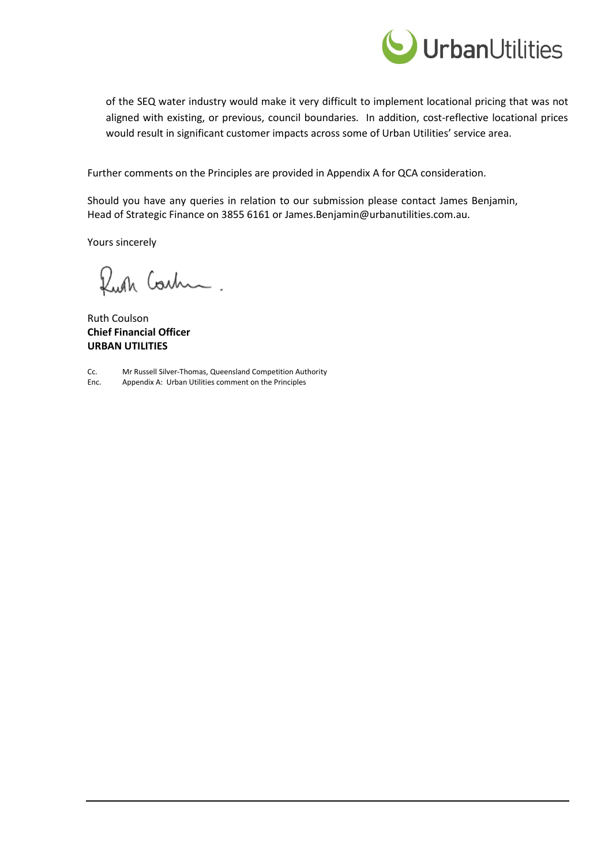

of the SEQ water industry would make it very difficult to implement locational pricing that was not aligned with existing, or previous, council boundaries. In addition, cost-reflective locational prices would result in significant customer impacts across some of Urban Utilities' service area.

Further comments on the Principles are provided in Appendix A for QCA consideration.

Should you have any queries in relation to our submission please contact James Benjamin, Head of Strategic Finance on 3855 6161 or James.Benjamin@urbanutilities.com.au.

Yours sincerely

Ruth Costum.

Ruth Coulson **Chief Financial Officer URBAN UTILITIES**

Cc. Mr Russell Silver-Thomas, Queensland Competition Authority

Enc. Appendix A: Urban Utilities comment on the Principles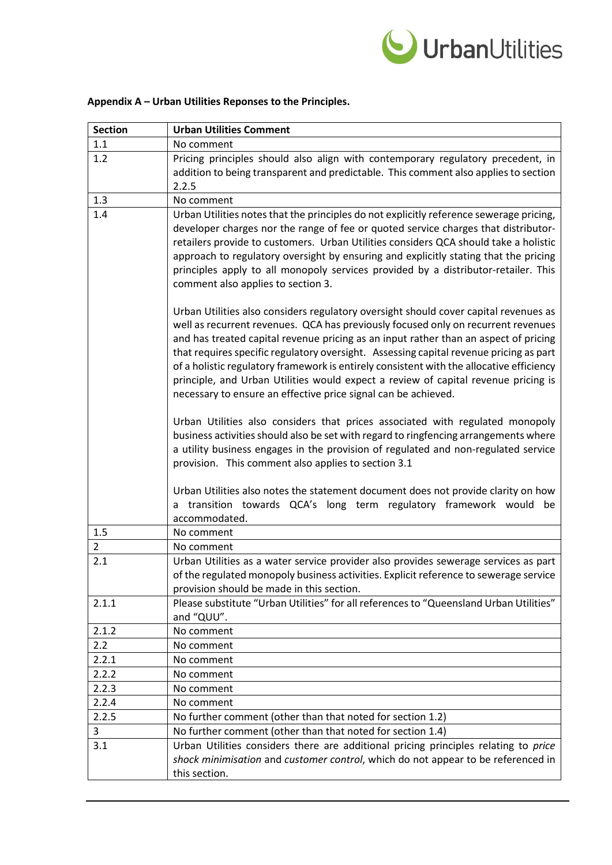

| <b>Section</b> | <b>Urban Utilities Comment</b>                                                                                                                                                                                                                                                                                                                                                                                                                                                                                                                                                                                                                                                                                                                                                                                                                                                                                                                                                                                             |
|----------------|----------------------------------------------------------------------------------------------------------------------------------------------------------------------------------------------------------------------------------------------------------------------------------------------------------------------------------------------------------------------------------------------------------------------------------------------------------------------------------------------------------------------------------------------------------------------------------------------------------------------------------------------------------------------------------------------------------------------------------------------------------------------------------------------------------------------------------------------------------------------------------------------------------------------------------------------------------------------------------------------------------------------------|
| 1.1            | No comment                                                                                                                                                                                                                                                                                                                                                                                                                                                                                                                                                                                                                                                                                                                                                                                                                                                                                                                                                                                                                 |
| 1.2            | Pricing principles should also align with contemporary regulatory precedent, in<br>addition to being transparent and predictable. This comment also applies to section<br>2.2.5                                                                                                                                                                                                                                                                                                                                                                                                                                                                                                                                                                                                                                                                                                                                                                                                                                            |
| 1.3            | No comment                                                                                                                                                                                                                                                                                                                                                                                                                                                                                                                                                                                                                                                                                                                                                                                                                                                                                                                                                                                                                 |
| 1.4            | Urban Utilities notes that the principles do not explicitly reference sewerage pricing,<br>developer charges nor the range of fee or quoted service charges that distributor-<br>retailers provide to customers. Urban Utilities considers QCA should take a holistic<br>approach to regulatory oversight by ensuring and explicitly stating that the pricing<br>principles apply to all monopoly services provided by a distributor-retailer. This<br>comment also applies to section 3.                                                                                                                                                                                                                                                                                                                                                                                                                                                                                                                                  |
|                | Urban Utilities also considers regulatory oversight should cover capital revenues as<br>well as recurrent revenues. QCA has previously focused only on recurrent revenues<br>and has treated capital revenue pricing as an input rather than an aspect of pricing<br>that requires specific regulatory oversight. Assessing capital revenue pricing as part<br>of a holistic regulatory framework is entirely consistent with the allocative efficiency<br>principle, and Urban Utilities would expect a review of capital revenue pricing is<br>necessary to ensure an effective price signal can be achieved.<br>Urban Utilities also considers that prices associated with regulated monopoly<br>business activities should also be set with regard to ringfencing arrangements where<br>a utility business engages in the provision of regulated and non-regulated service<br>provision. This comment also applies to section 3.1<br>Urban Utilities also notes the statement document does not provide clarity on how |
|                | a transition towards QCA's long term regulatory framework would be<br>accommodated.                                                                                                                                                                                                                                                                                                                                                                                                                                                                                                                                                                                                                                                                                                                                                                                                                                                                                                                                        |
| 1.5            | No comment                                                                                                                                                                                                                                                                                                                                                                                                                                                                                                                                                                                                                                                                                                                                                                                                                                                                                                                                                                                                                 |
| $\overline{2}$ | No comment                                                                                                                                                                                                                                                                                                                                                                                                                                                                                                                                                                                                                                                                                                                                                                                                                                                                                                                                                                                                                 |
| 2.1            | Urban Utilities as a water service provider also provides sewerage services as part<br>of the regulated monopoly business activities. Explicit reference to sewerage service<br>provision should be made in this section.                                                                                                                                                                                                                                                                                                                                                                                                                                                                                                                                                                                                                                                                                                                                                                                                  |
| 2.1.1          | Please substitute "Urban Utilities" for all references to "Queensland Urban Utilities"<br>and "QUU".                                                                                                                                                                                                                                                                                                                                                                                                                                                                                                                                                                                                                                                                                                                                                                                                                                                                                                                       |
| 2.1.2          | No comment                                                                                                                                                                                                                                                                                                                                                                                                                                                                                                                                                                                                                                                                                                                                                                                                                                                                                                                                                                                                                 |
| 2.2            | No comment                                                                                                                                                                                                                                                                                                                                                                                                                                                                                                                                                                                                                                                                                                                                                                                                                                                                                                                                                                                                                 |
| 2.2.1          | No comment                                                                                                                                                                                                                                                                                                                                                                                                                                                                                                                                                                                                                                                                                                                                                                                                                                                                                                                                                                                                                 |
| 2.2.2          | No comment                                                                                                                                                                                                                                                                                                                                                                                                                                                                                                                                                                                                                                                                                                                                                                                                                                                                                                                                                                                                                 |
| 2.2.3          | No comment                                                                                                                                                                                                                                                                                                                                                                                                                                                                                                                                                                                                                                                                                                                                                                                                                                                                                                                                                                                                                 |
| 2.2.4          | No comment                                                                                                                                                                                                                                                                                                                                                                                                                                                                                                                                                                                                                                                                                                                                                                                                                                                                                                                                                                                                                 |
| 2.2.5          | No further comment (other than that noted for section 1.2)                                                                                                                                                                                                                                                                                                                                                                                                                                                                                                                                                                                                                                                                                                                                                                                                                                                                                                                                                                 |
| 3              | No further comment (other than that noted for section 1.4)                                                                                                                                                                                                                                                                                                                                                                                                                                                                                                                                                                                                                                                                                                                                                                                                                                                                                                                                                                 |
| 3.1            | Urban Utilities considers there are additional pricing principles relating to price<br>shock minimisation and customer control, which do not appear to be referenced in<br>this section.                                                                                                                                                                                                                                                                                                                                                                                                                                                                                                                                                                                                                                                                                                                                                                                                                                   |

## **Appendix A – Urban Utilities Reponses to the Principles.**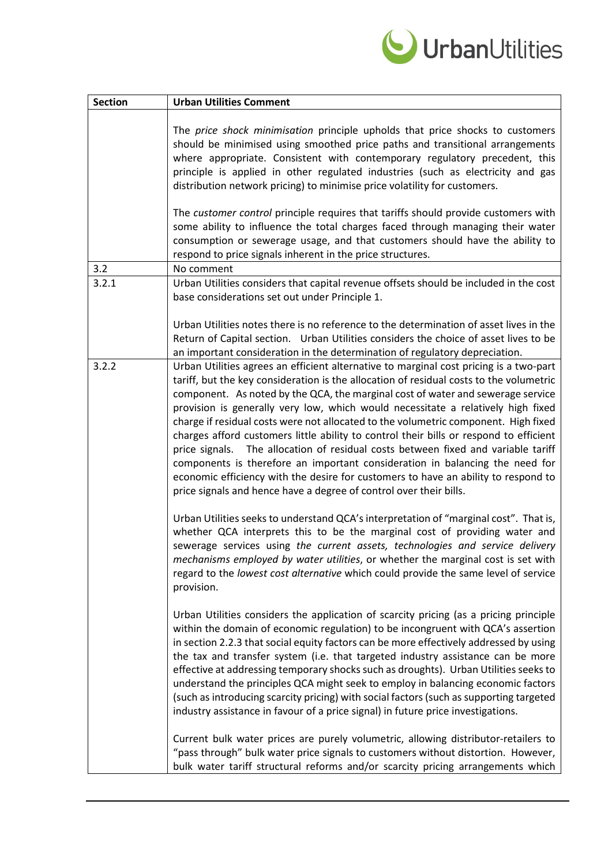

| <b>Section</b> | <b>Urban Utilities Comment</b>                                                                                                                                                                                                                                                                                                                                                                                                                                                                                                                                                                                                                                                                                                                                                                                                                                                                                                                                                                                                                       |
|----------------|------------------------------------------------------------------------------------------------------------------------------------------------------------------------------------------------------------------------------------------------------------------------------------------------------------------------------------------------------------------------------------------------------------------------------------------------------------------------------------------------------------------------------------------------------------------------------------------------------------------------------------------------------------------------------------------------------------------------------------------------------------------------------------------------------------------------------------------------------------------------------------------------------------------------------------------------------------------------------------------------------------------------------------------------------|
|                | The price shock minimisation principle upholds that price shocks to customers<br>should be minimised using smoothed price paths and transitional arrangements<br>where appropriate. Consistent with contemporary regulatory precedent, this<br>principle is applied in other regulated industries (such as electricity and gas<br>distribution network pricing) to minimise price volatility for customers.                                                                                                                                                                                                                                                                                                                                                                                                                                                                                                                                                                                                                                          |
|                | The customer control principle requires that tariffs should provide customers with<br>some ability to influence the total charges faced through managing their water<br>consumption or sewerage usage, and that customers should have the ability to<br>respond to price signals inherent in the price structures.                                                                                                                                                                                                                                                                                                                                                                                                                                                                                                                                                                                                                                                                                                                                   |
| 3.2            | No comment                                                                                                                                                                                                                                                                                                                                                                                                                                                                                                                                                                                                                                                                                                                                                                                                                                                                                                                                                                                                                                           |
| 3.2.1          | Urban Utilities considers that capital revenue offsets should be included in the cost<br>base considerations set out under Principle 1.                                                                                                                                                                                                                                                                                                                                                                                                                                                                                                                                                                                                                                                                                                                                                                                                                                                                                                              |
|                | Urban Utilities notes there is no reference to the determination of asset lives in the<br>Return of Capital section. Urban Utilities considers the choice of asset lives to be<br>an important consideration in the determination of regulatory depreciation.                                                                                                                                                                                                                                                                                                                                                                                                                                                                                                                                                                                                                                                                                                                                                                                        |
| 3.2.2          | Urban Utilities agrees an efficient alternative to marginal cost pricing is a two-part<br>tariff, but the key consideration is the allocation of residual costs to the volumetric<br>component. As noted by the QCA, the marginal cost of water and sewerage service<br>provision is generally very low, which would necessitate a relatively high fixed<br>charge if residual costs were not allocated to the volumetric component. High fixed<br>charges afford customers little ability to control their bills or respond to efficient<br>The allocation of residual costs between fixed and variable tariff<br>price signals.<br>components is therefore an important consideration in balancing the need for<br>economic efficiency with the desire for customers to have an ability to respond to<br>price signals and hence have a degree of control over their bills.<br>Urban Utilities seeks to understand QCA's interpretation of "marginal cost". That is,<br>whether QCA interprets this to be the marginal cost of providing water and |
|                | sewerage services using the current assets, technologies and service delivery<br>mechanisms employed by water utilities, or whether the marginal cost is set with<br>regard to the lowest cost alternative which could provide the same level of service<br>provision.                                                                                                                                                                                                                                                                                                                                                                                                                                                                                                                                                                                                                                                                                                                                                                               |
|                | Urban Utilities considers the application of scarcity pricing (as a pricing principle<br>within the domain of economic regulation) to be incongruent with QCA's assertion<br>in section 2.2.3 that social equity factors can be more effectively addressed by using<br>the tax and transfer system (i.e. that targeted industry assistance can be more<br>effective at addressing temporary shocks such as droughts). Urban Utilities seeks to<br>understand the principles QCA might seek to employ in balancing economic factors<br>(such as introducing scarcity pricing) with social factors (such as supporting targeted<br>industry assistance in favour of a price signal) in future price investigations.                                                                                                                                                                                                                                                                                                                                    |
|                | Current bulk water prices are purely volumetric, allowing distributor-retailers to<br>"pass through" bulk water price signals to customers without distortion. However,<br>bulk water tariff structural reforms and/or scarcity pricing arrangements which                                                                                                                                                                                                                                                                                                                                                                                                                                                                                                                                                                                                                                                                                                                                                                                           |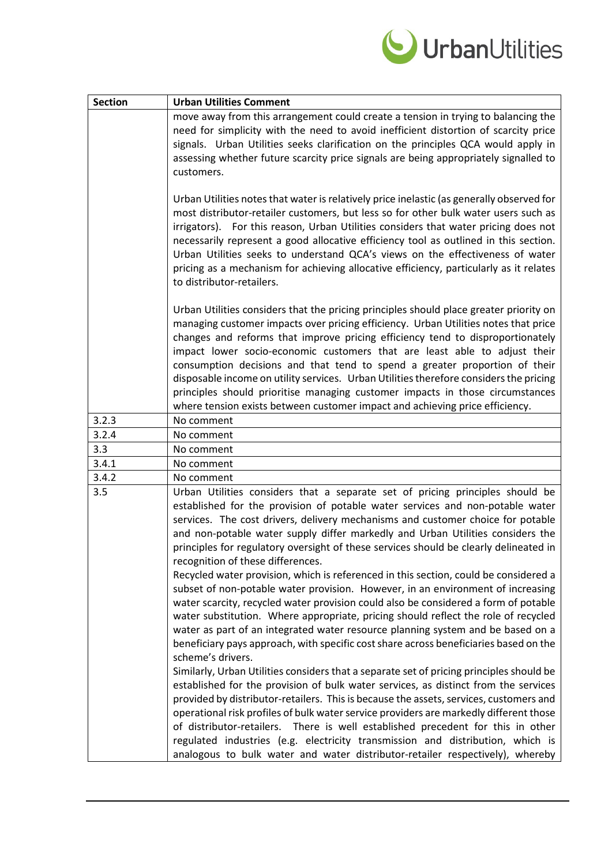

| <b>Section</b> | <b>Urban Utilities Comment</b>                                                                                                                                                                                                                                                                                                                                                                                                                                                                                                                                                                                                                                                        |
|----------------|---------------------------------------------------------------------------------------------------------------------------------------------------------------------------------------------------------------------------------------------------------------------------------------------------------------------------------------------------------------------------------------------------------------------------------------------------------------------------------------------------------------------------------------------------------------------------------------------------------------------------------------------------------------------------------------|
|                | move away from this arrangement could create a tension in trying to balancing the<br>need for simplicity with the need to avoid inefficient distortion of scarcity price<br>signals. Urban Utilities seeks clarification on the principles QCA would apply in<br>assessing whether future scarcity price signals are being appropriately signalled to<br>customers.                                                                                                                                                                                                                                                                                                                   |
|                | Urban Utilities notes that water is relatively price inelastic (as generally observed for<br>most distributor-retailer customers, but less so for other bulk water users such as<br>irrigators). For this reason, Urban Utilities considers that water pricing does not<br>necessarily represent a good allocative efficiency tool as outlined in this section.<br>Urban Utilities seeks to understand QCA's views on the effectiveness of water<br>pricing as a mechanism for achieving allocative efficiency, particularly as it relates<br>to distributor-retailers.                                                                                                               |
|                | Urban Utilities considers that the pricing principles should place greater priority on<br>managing customer impacts over pricing efficiency. Urban Utilities notes that price<br>changes and reforms that improve pricing efficiency tend to disproportionately<br>impact lower socio-economic customers that are least able to adjust their<br>consumption decisions and that tend to spend a greater proportion of their<br>disposable income on utility services. Urban Utilities therefore considers the pricing<br>principles should prioritise managing customer impacts in those circumstances<br>where tension exists between customer impact and achieving price efficiency. |
| 3.2.3          | No comment                                                                                                                                                                                                                                                                                                                                                                                                                                                                                                                                                                                                                                                                            |
| 3.2.4          | No comment                                                                                                                                                                                                                                                                                                                                                                                                                                                                                                                                                                                                                                                                            |
| 3.3            | No comment                                                                                                                                                                                                                                                                                                                                                                                                                                                                                                                                                                                                                                                                            |
| 3.4.1          | No comment                                                                                                                                                                                                                                                                                                                                                                                                                                                                                                                                                                                                                                                                            |
| 3.4.2          | No comment                                                                                                                                                                                                                                                                                                                                                                                                                                                                                                                                                                                                                                                                            |
| 3.5            | Urban Utilities considers that a separate set of pricing principles should be<br>established for the provision of potable water services and non-potable water<br>services. The cost drivers, delivery mechanisms and customer choice for potable<br>and non-potable water supply differ markedly and Urban Utilities considers the<br>principles for regulatory oversight of these services should be clearly delineated in<br>recognition of these differences.<br>Recycled water provision, which is referenced in this section, could be considered a                                                                                                                             |
|                | subset of non-potable water provision. However, in an environment of increasing<br>water scarcity, recycled water provision could also be considered a form of potable<br>water substitution. Where appropriate, pricing should reflect the role of recycled<br>water as part of an integrated water resource planning system and be based on a                                                                                                                                                                                                                                                                                                                                       |
|                | beneficiary pays approach, with specific cost share across beneficiaries based on the<br>scheme's drivers.                                                                                                                                                                                                                                                                                                                                                                                                                                                                                                                                                                            |
|                | Similarly, Urban Utilities considers that a separate set of pricing principles should be                                                                                                                                                                                                                                                                                                                                                                                                                                                                                                                                                                                              |
|                | established for the provision of bulk water services, as distinct from the services                                                                                                                                                                                                                                                                                                                                                                                                                                                                                                                                                                                                   |
|                | provided by distributor-retailers. This is because the assets, services, customers and                                                                                                                                                                                                                                                                                                                                                                                                                                                                                                                                                                                                |
|                | operational risk profiles of bulk water service providers are markedly different those                                                                                                                                                                                                                                                                                                                                                                                                                                                                                                                                                                                                |
|                | of distributor-retailers. There is well established precedent for this in other                                                                                                                                                                                                                                                                                                                                                                                                                                                                                                                                                                                                       |
|                | regulated industries (e.g. electricity transmission and distribution, which is<br>analogous to bulk water and water distributor-retailer respectively), whereby                                                                                                                                                                                                                                                                                                                                                                                                                                                                                                                       |